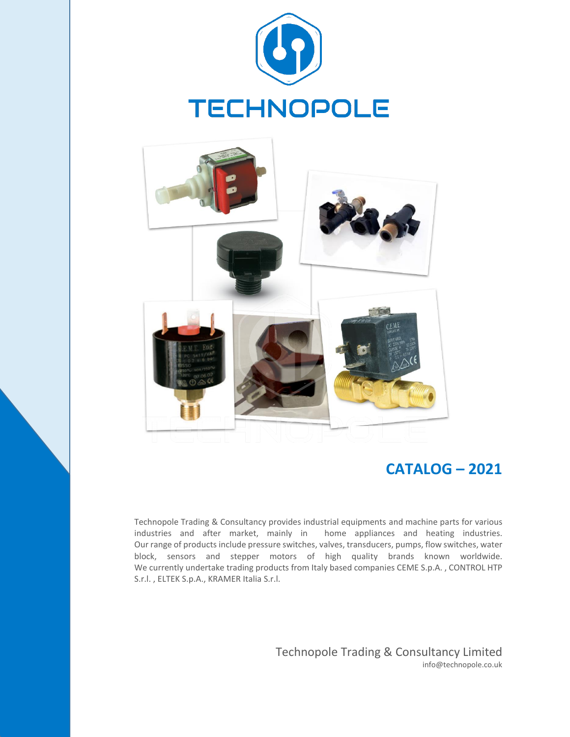



# **CATALOG – 2021**

S.r.l. , ELTEK S.p.A., KRAMER Italia S.r.l. We currently undertake trading products from Italy based companies CEME S.p.A. , CONTROL HTP block, sensors and stepper motors of high quality brands known worldwide. Our range of products include pressure switches, valves, transducers, pumps, flow switches, water industries and after market, mainly in home appliances and heating industries. Technopole Trading & Consultancy provides industrial equipments and machine parts for various

> Technopole Trading & Consultancy Limited info@technopole.co.uk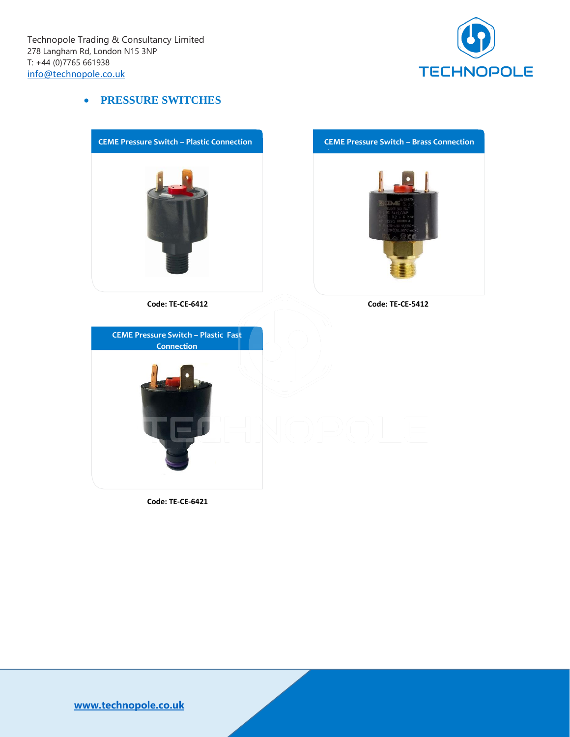

#### • **PRESSURE SWITCHES**



 **Code: TE-CE-6421**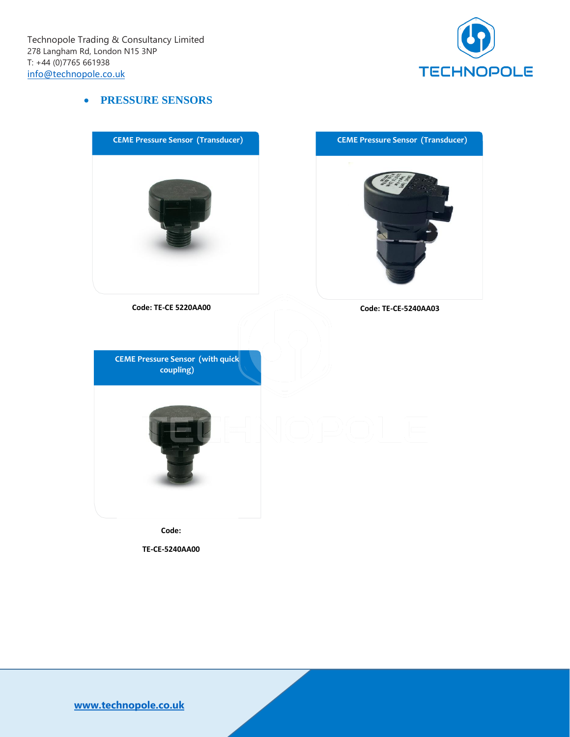

#### • **PRESSURE SENSORS**

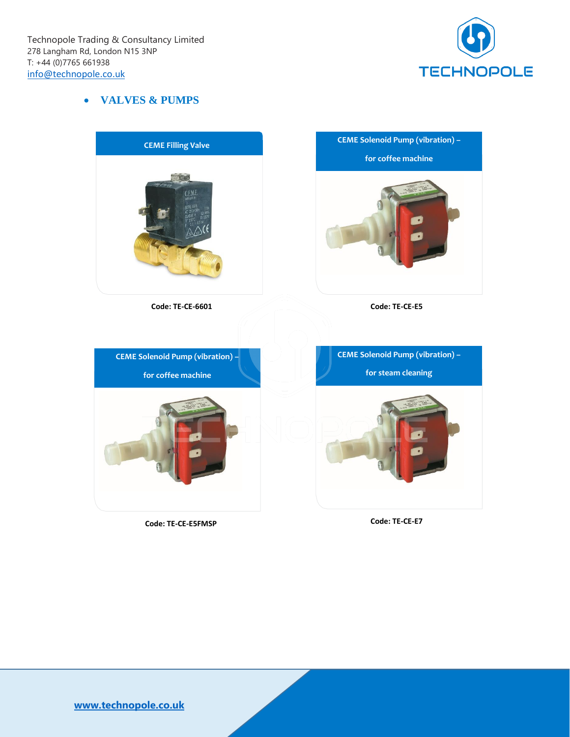

#### • **VALVES & PUMPS**



 **Code: TE-CE-E5FMSP**

 **Code: TE-CE-E7**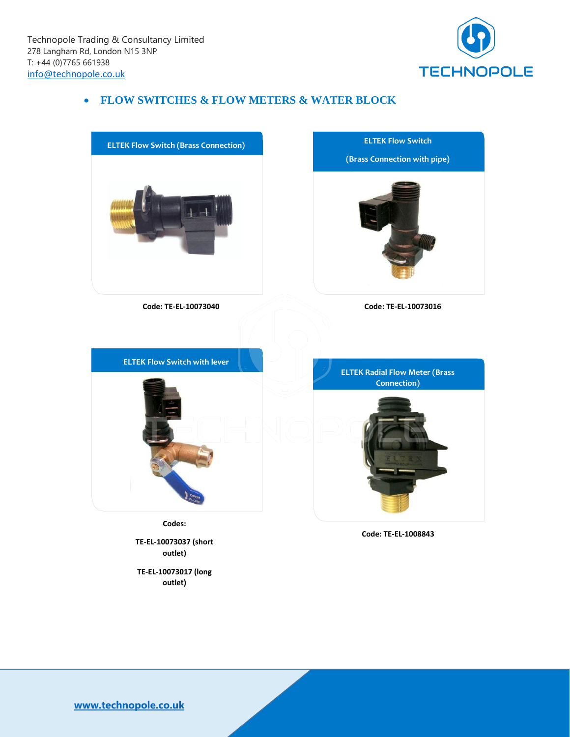

# • **FLOW SWITCHES & FLOW METERS & WATER BLOCK**



**TE-EL-10073017 (long outlet)**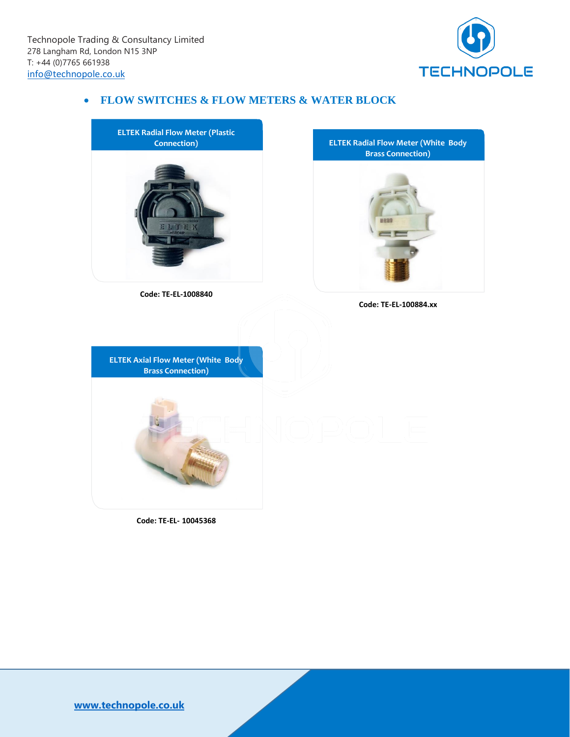

# • **FLOW SWITCHES & FLOW METERS & WATER BLOCK**



 **Code: TE-EL- 10045368**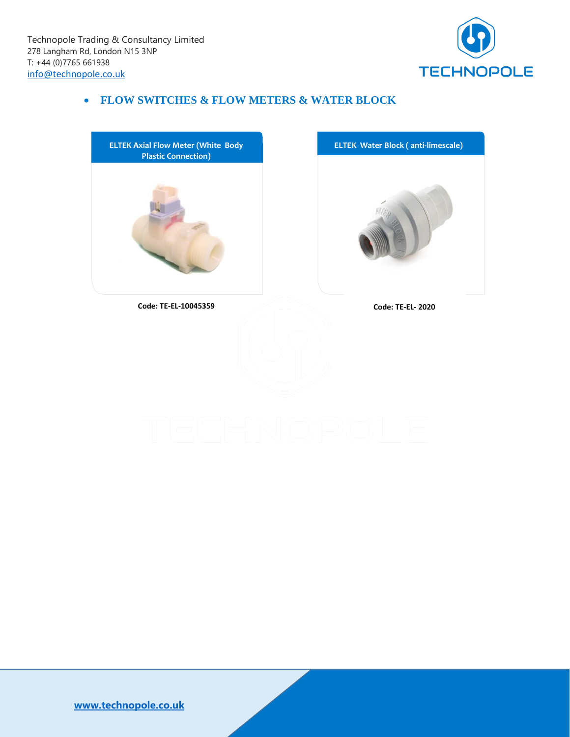

# • **FLOW SWITCHES & FLOW METERS & WATER BLOCK**

**ELTEK Axial Flow Meter (White Body Plastic Connection)**



 **Code: TE-EL-10045359**

 **Code: TE-EL- 2020**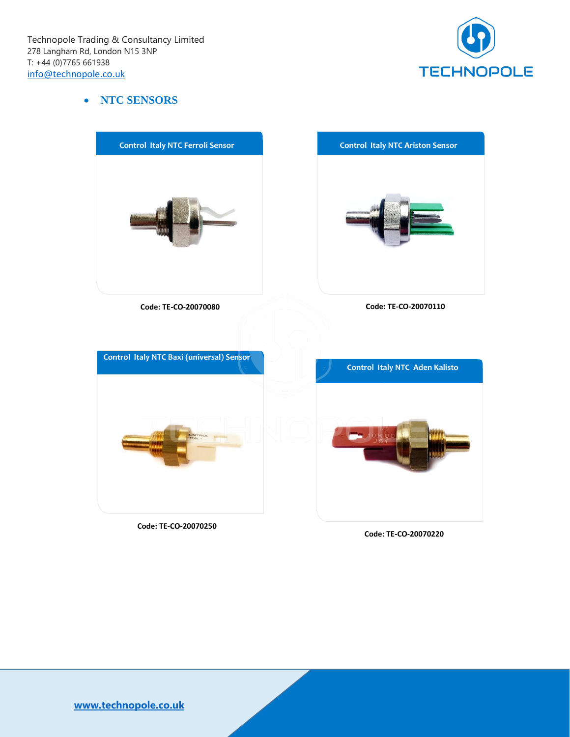

#### • **NTC SENSORS**



 **Code: TE-CO-20070250**

 **Code: TE-CO-20070220**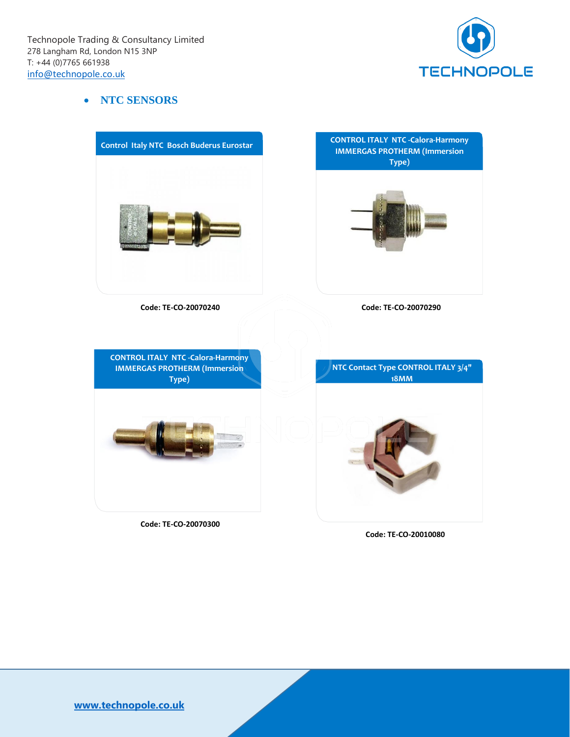

#### • **NTC SENSORS**



 **Code: TE-CO-20070300**

 **Code: TE-CO-20010080**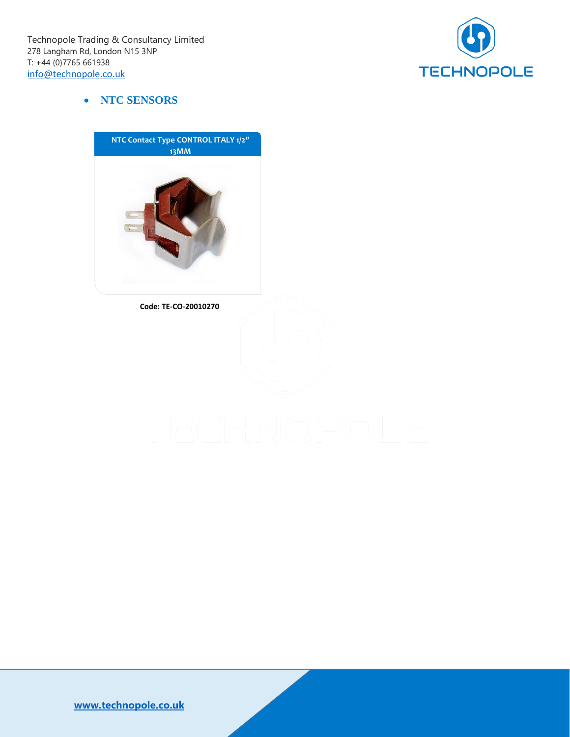

#### • **NTC SENSORS**



 **Code: TE-CO-20010270**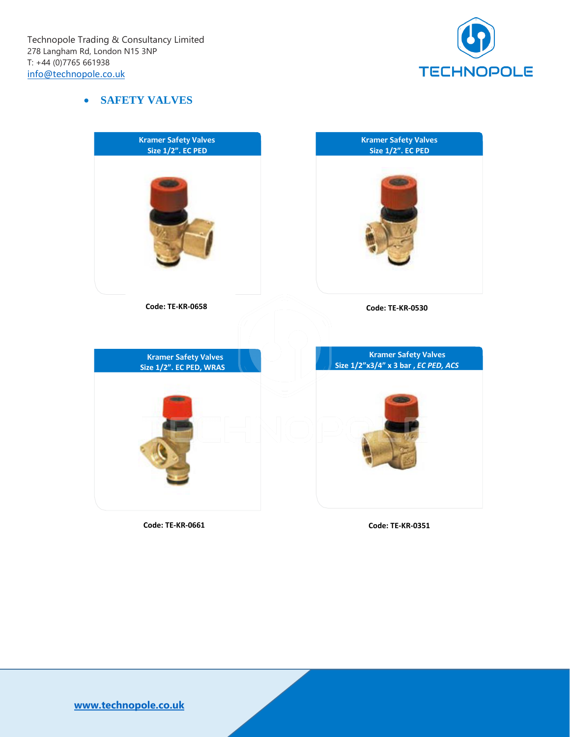

### • **SAFETY VALVES**



**Code: TE-KR-0661**

**Code: TE-KR-0351**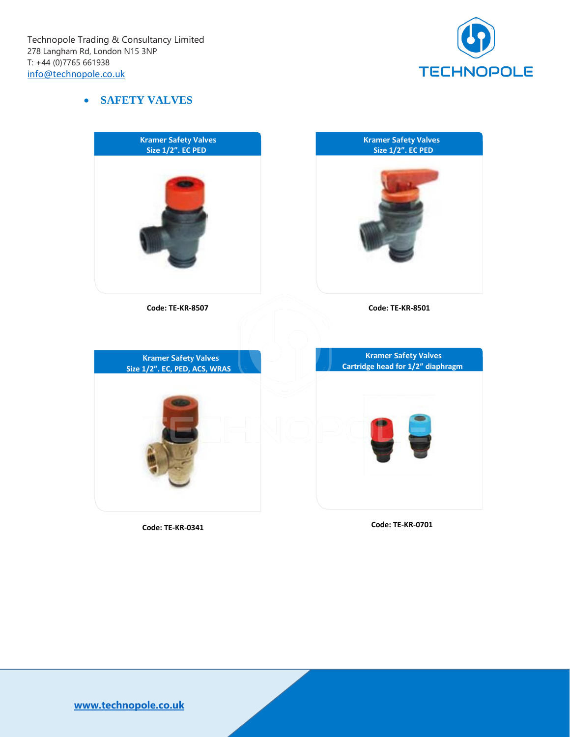

#### • **SAFETY VALVES**



**Code: TE-KR-0341**

**Code: TE-KR-0701**